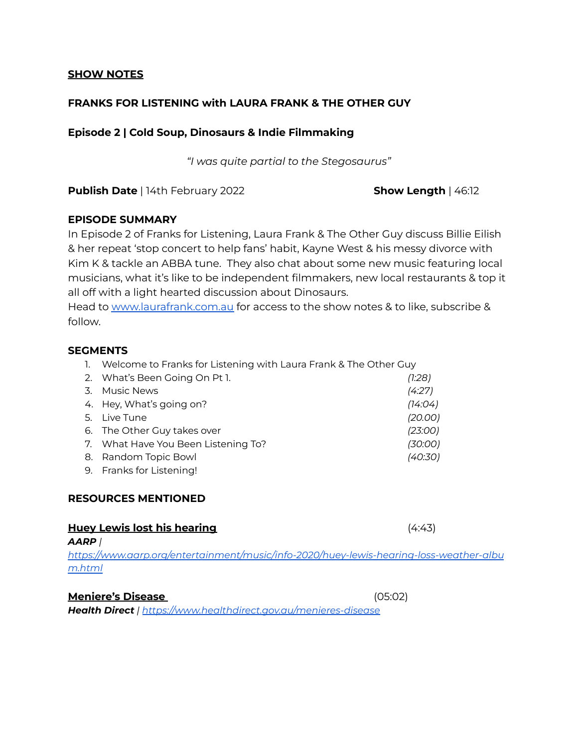### **SHOW NOTES**

# **FRANKS FOR LISTENING with LAURA FRANK & THE OTHER GUY**

# **Episode 2 | Cold Soup, Dinosaurs & Indie Filmmaking**

*"I was quite partial to the Stegosaurus"*

**Publish Date** | 14th February 2022 **Show Length** | 46:12

## **EPISODE SUMMARY**

In Episode 2 of Franks for Listening, Laura Frank & The Other Guy discuss Billie Eilish & her repeat 'stop concert to help fans' habit, Kayne West & his messy divorce with Kim K & tackle an ABBA tune. They also chat about some new music featuring local musicians, what it's like to be independent filmmakers, new local restaurants & top it all off with a light hearted discussion about Dinosaurs.

Head to [www.laurafrank.com.au](http://www.laurafrank.com.au) for access to the show notes & to like, subscribe & follow.

## **SEGMENTS**

1. Welcome to Franks for Listening with Laura Frank & The Other Guy

|    | 2. What's Been Going On Pt 1.       | (1:28)  |
|----|-------------------------------------|---------|
| 3. | <b>Music News</b>                   | (4:27)  |
|    | 4. Hey, What's going on?            | (14:04) |
|    | 5. Live Tune                        | (20.00) |
|    | 6. The Other Guy takes over         | (23:00) |
|    | 7. What Have You Been Listening To? | (30:00) |
|    | 8. Random Topic Bowl                | (40:30) |
|    | 9. Franks for Listening!            |         |

# **RESOURCES MENTIONED**

# **Huey Lewis lost his hearing** (4:43)

*AARP |*

*https:/ [www.aarp.org/entertainment/music/info-2020/huey-lewis-hearing-loss-weather-albu](https://www.aarp.org/entertainment/music/info-2020/huey-lewis-hearing-loss-weather-album.html) [m.html](https://www.aarp.org/entertainment/music/info-2020/huey-lewis-hearing-loss-weather-album.html)*

### **Meniere's Disease** (05:02)

*Health Direct | https:/ [www.healthdirect.gov.au/menieres-disease](https://www.healthdirect.gov.au/menieres-disease)*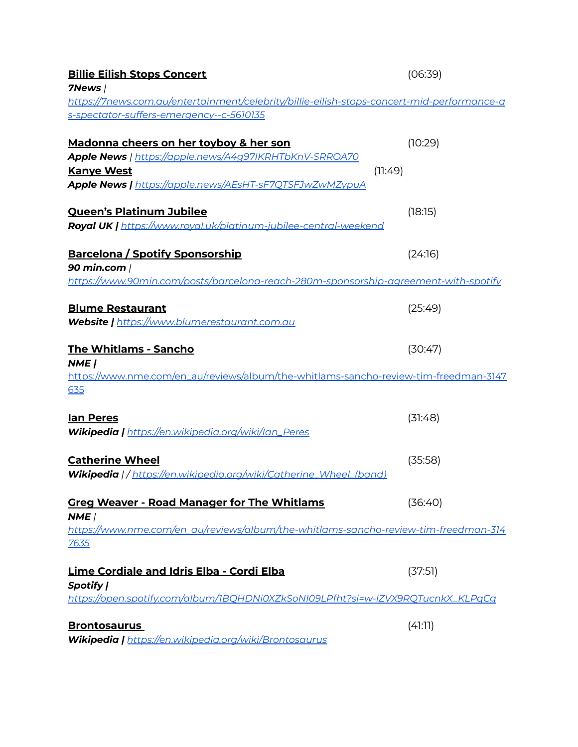| <u> Billie Eilish Stops Concert</u>                                                               | (06:39) |
|---------------------------------------------------------------------------------------------------|---------|
| 7News /                                                                                           |         |
| <u>https://7news.com.au/entertainment/celebrity/billie-eilish-stops-concert-mid-performance-a</u> |         |
| s-spectator-suffers-emergency--c-5610135                                                          |         |
|                                                                                                   |         |
| <u>Madonna cheers on her toyboy &amp; her son</u>                                                 | (10:29) |
| Apple News   https://apple.news/A4g97IKRHTbKnV-SRROA70                                            |         |
| <b>Kanye West</b><br>Apple News   https://apple.news/AEsHT-sF7QTSFJwZwMZypuA                      | (11:49) |
|                                                                                                   |         |
| <u> Queen's Platinum Jubilee</u>                                                                  | (18:15) |
| Royal UK   https://www.royal.uk/platinum-jubilee-central-weekend                                  |         |
|                                                                                                   |         |
| <u> Barcelona / Spotify Sponsorship</u>                                                           | (24:16) |
| 90 min.com                                                                                        |         |
| <u>https://www.90min.com/posts/barcelona-reach-280m-sponsorship-agreement-with-spotify</u>        |         |
|                                                                                                   |         |
| <u>Blume Restaurant</u>                                                                           | (25:49) |
| Website   https://www.blumerestaurant.com.au                                                      |         |
|                                                                                                   |         |
| <u> The Whitlams - Sancho</u>                                                                     | (30:47) |
| NME                                                                                               |         |
| https://www.nme.com/en_au/reviews/album/the-whitlams-sancho-review-tim-freedman-3147              |         |
| <u>635</u>                                                                                        |         |
|                                                                                                   |         |
| <u>lan Peres</u>                                                                                  | (31:48) |
| Wikipedia   https://en.wikipedia.org/wiki/lan_Peres                                               |         |
| <b>Catherine Wheel</b>                                                                            | (35:58) |
| Wikipedia   / https://en.wikipedia.org/wiki/Catherine_Wheel_(band)                                |         |
|                                                                                                   |         |
| <b>Greg Weaver - Road Manager for The Whitlams</b>                                                | (36:40) |
| NME                                                                                               |         |
| https://www.nme.com/en_au/reviews/album/the-whitlams-sancho-review-tim-freedman-314               |         |
| <u>7635</u>                                                                                       |         |
|                                                                                                   |         |
| <u> Lime Cordiale and Idris Elba - Cordi Elba</u>                                                 | (37:51) |
| Spotify                                                                                           |         |
| https://open.spotify.com/album/1BQHDNi0XZkSoNI09LPfht?si=w-IZVX9RQTucnkX_KLPqCq                   |         |
|                                                                                                   |         |
| <b>Brontosaurus</b>                                                                               | (41:11) |
| Wikipedia   https://en.wikipedia.org/wiki/Brontosaurus                                            |         |